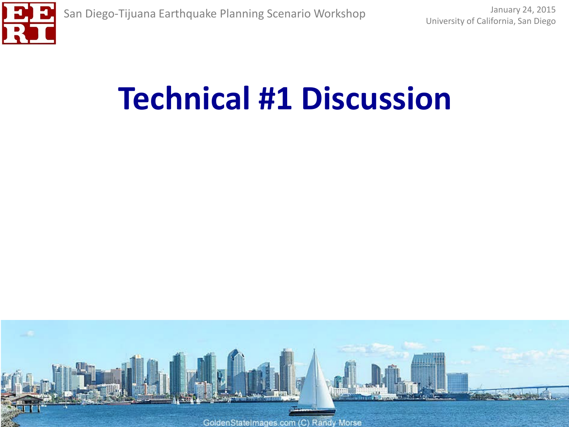

## **Technical #1 Discussion**

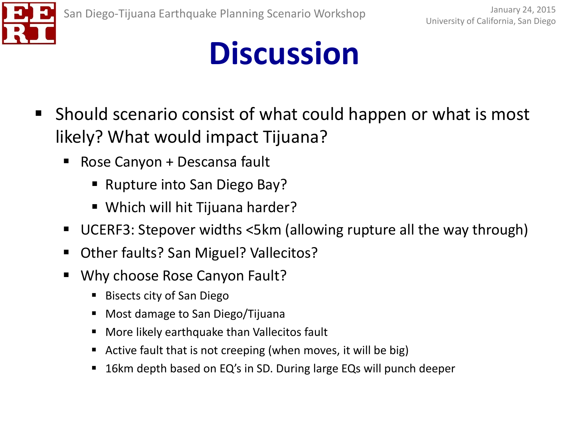

- **Should scenario consist of what could happen or what is most** likely? What would impact Tijuana?
	- Rose Canyon + Descansa fault
		- Rupture into San Diego Bay?
		- Which will hit Tijuana harder?
	- UCERF3: Stepover widths <5km (allowing rupture all the way through)
	- Other faults? San Miguel? Vallecitos?
	- **Why choose Rose Canyon Fault?** 
		- Bisects city of San Diego
		- **Most damage to San Diego/Tijuana**
		- More likely earthquake than Vallecitos fault
		- Active fault that is not creeping (when moves, it will be big)
		- 16km depth based on EQ's in SD. During large EQs will punch deeper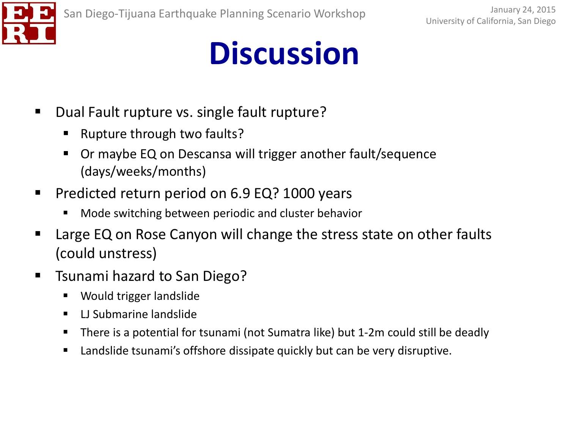

- Dual Fault rupture vs. single fault rupture?
	- **Rupture through two faults?**
	- Or maybe EQ on Descansa will trigger another fault/sequence (days/weeks/months)
- **Predicted return period on 6.9 EQ? 1000 years** 
	- Mode switching between periodic and cluster behavior
- Large EQ on Rose Canyon will change the stress state on other faults (could unstress)
- Tsunami hazard to San Diego?
	- Would trigger landslide
	- **LI Submarine landslide**
	- There is a potential for tsunami (not Sumatra like) but 1-2m could still be deadly
	- Landslide tsunami's offshore dissipate quickly but can be very disruptive.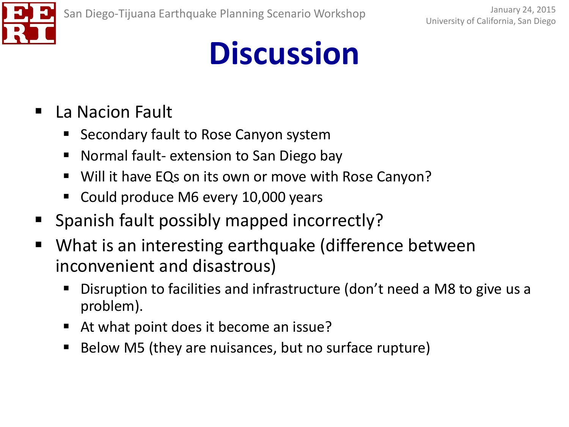

#### ■ La Nacion Fault

- Secondary fault to Rose Canyon system
- Normal fault- extension to San Diego bay
- Will it have EQs on its own or move with Rose Canyon?
- Could produce M6 every 10,000 years
- **Spanish fault possibly mapped incorrectly?**
- What is an interesting earthquake (difference between inconvenient and disastrous)
	- Disruption to facilities and infrastructure (don't need a M8 to give us a problem).
	- At what point does it become an issue?
	- Below M5 (they are nuisances, but no surface rupture)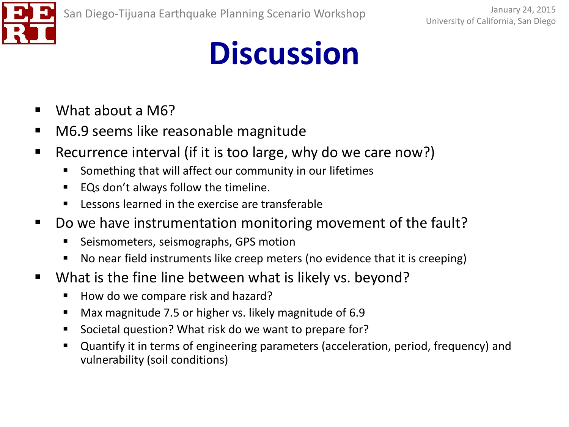

- What about a M6?
- M6.9 seems like reasonable magnitude
- Recurrence interval (if it is too large, why do we care now?)
	- Something that will affect our community in our lifetimes
	- EQs don't always follow the timeline.
	- **Lessons learned in the exercise are transferable**
- Do we have instrumentation monitoring movement of the fault?
	- **EXECT:** Seismometers, seismographs, GPS motion
	- No near field instruments like creep meters (no evidence that it is creeping)
- **What is the fine line between what is likely vs. beyond?** 
	- How do we compare risk and hazard?
	- Max magnitude 7.5 or higher vs. likely magnitude of 6.9
	- Societal question? What risk do we want to prepare for?
	- Quantify it in terms of engineering parameters (acceleration, period, frequency) and vulnerability (soil conditions)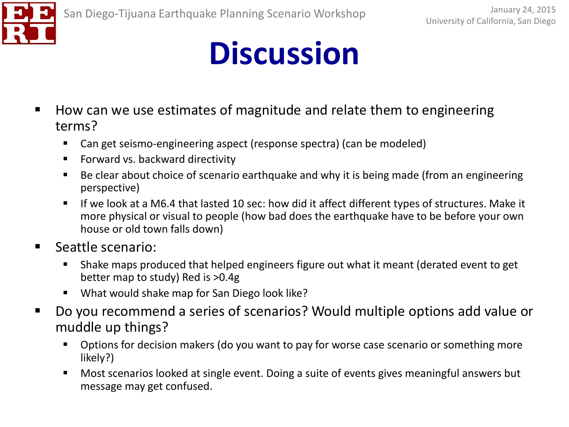

- How can we use estimates of magnitude and relate them to engineering terms?
	- Can get seismo-engineering aspect (response spectra) (can be modeled)
	- **Forward vs. backward directivity**
	- Be clear about choice of scenario earthquake and why it is being made (from an engineering perspective)
	- If we look at a M6.4 that lasted 10 sec: how did it affect different types of structures. Make it more physical or visual to people (how bad does the earthquake have to be before your own house or old town falls down)
- Seattle scenario:
	- Shake maps produced that helped engineers figure out what it meant (derated event to get better map to study) Red is >0.4g
	- What would shake map for San Diego look like?
- Do you recommend a series of scenarios? Would multiple options add value or muddle up things?
	- **•** Options for decision makers (do you want to pay for worse case scenario or something more likely?)
	- Most scenarios looked at single event. Doing a suite of events gives meaningful answers but message may get confused.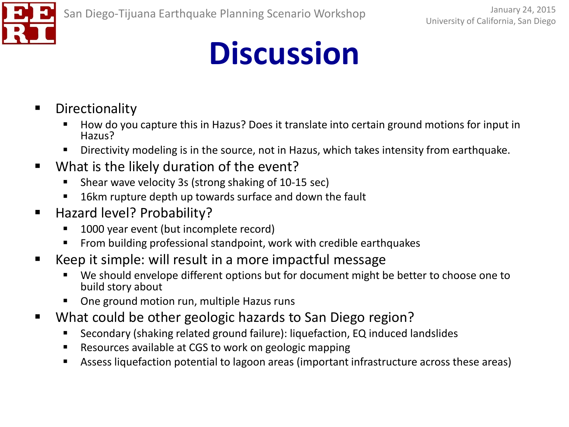- **•** Directionality
	- How do you capture this in Hazus? Does it translate into certain ground motions for input in Hazus?
	- **Directivity modeling is in the source, not in Hazus, which takes intensity from earthquake.**
- **What is the likely duration of the event?** 
	- Shear wave velocity 3s (strong shaking of 10-15 sec)
	- 16km rupture depth up towards surface and down the fault
- Hazard level? Probability?
	- 1000 year event (but incomplete record)
	- **From building professional standpoint, work with credible earthquakes**
- Keep it simple: will result in a more impactful message
	- We should envelope different options but for document might be better to choose one to build story about
	- One ground motion run, multiple Hazus runs
- What could be other geologic hazards to San Diego region?
	- Secondary (shaking related ground failure): liquefaction, EQ induced landslides
	- Resources available at CGS to work on geologic mapping
	- Assess liquefaction potential to lagoon areas (important infrastructure across these areas)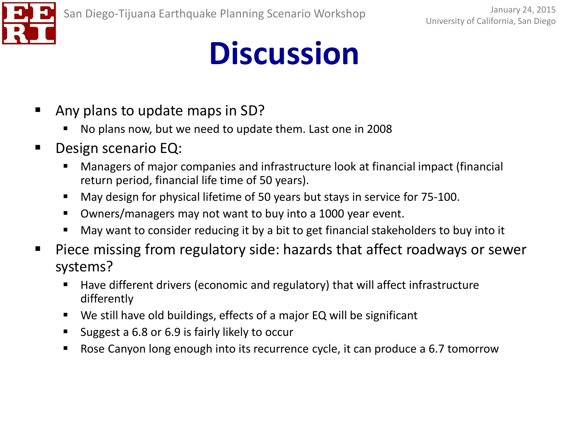

- **E** Any plans to update maps in SD?
	- No plans now, but we need to update them. Last one in 2008
- Design scenario EQ:
	- Managers of major companies and infrastructure look at financial impact (financial return period, financial life time of 50 years).
	- May design for physical lifetime of 50 years but stays in service for 75-100.
	- Owners/managers may not want to buy into a 1000 year event.
	- May want to consider reducing it by a bit to get financial stakeholders to buy into it
- Piece missing from regulatory side: hazards that affect roadways or sewer systems?
	- Have different drivers (economic and regulatory) that will affect infrastructure differently
	- We still have old buildings, effects of a major EQ will be significant
	- Suggest a 6.8 or 6.9 is fairly likely to occur
	- Rose Canyon long enough into its recurrence cycle, it can produce a 6.7 tomorrow